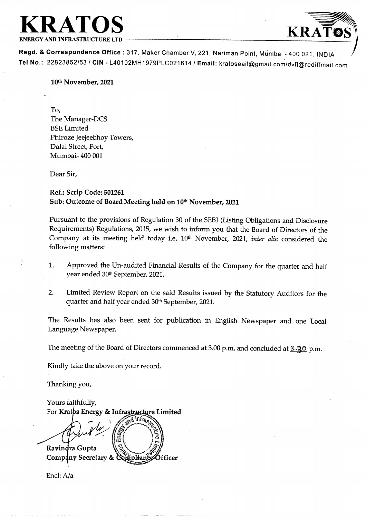### KRATOS KRATOS

ENERGY AND INFRASTRUCTURE LTD

 $\mathcal{L}$ 

Regd. & Correspondence Office : 317, Maker Chamber V, 221, Nariman Point, Mumbai - 400 021. INDIA Tel No.: 22823852/53 / CIN -L40102MH1979PLC021614 / Email: kratoseail@gmail.com/dvfl@rediffmail.com

10% November, 2021

To, The Manager-DCS BSE Limited Phiroze Jeejeebhoy Towers, Dalal Street, Fort, Mumbai- 400 001

Dear Sir,

### Ref.: Scrip Code: 501261 Sub: Outcome of Board Meeting held on 10<sup>th</sup> November, 2021

Pursuant to the provisions of Regulation 30 of the SEBI (Listing Obligations and Disclosure Requirements) Regulations, 2015, we wish to inform you that the Board of Directors of the Company at its meeting held today ie. 10% November, 2021, inter alia considered the following matters:

- 1. Approved the Un-audited Financial Results of the Company for the quarter and half year ended 30<sup>th</sup> September, 2021.
- 2. Limited Review Report on the said Results issued by the Statutory Auditors for the quarter and half year ended 30% September, 2021.

The Results has also been sent for publication in English Newspaper and one Local Language Newspaper.

The meeting of the Board of Directors commenced at 3.00 p.m. and concluded at 3.<sup>2</sup>20 p.m.

Kindly take the above on your record.

Thanking you,

Yours faithfully, For Kratps Energy & Infrastructure Limited

Thanking you,<br>Yours faithfully,<br>For Kratos Energy &<br>Ravindra Gupta<br>Company Secretary<br>Encl: A/a rd Infra, Officer

Encl: A/a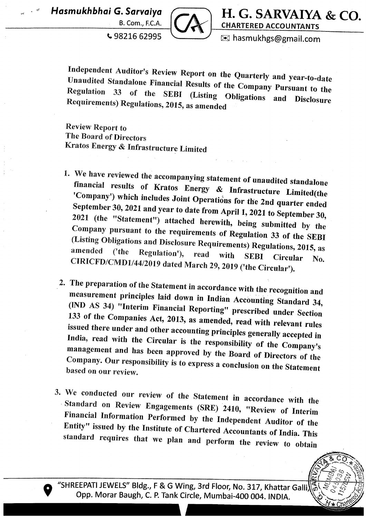

Hasmukhbhai G. Sarvaiya ( H. G. SARVAIYA & CO.

 $\cdot$  98216 62995  $\leq$   $\leq$  hasmukhgs@gmail.com

Independent Auditor's Review Report on the Quarterly and year-to-date<br>Unaudited Standalone Financial Results of the Company Pursuant to the Regulation Unaudited Standalone Financial Results of the Company Pursuant to the Regulation 33 of the SEBI (Listing Obligations and Disclosure Requirements) Regulations, 2015, as amended

Review Report to The Board of Directors Kratos Energy & Infrastructure Limited

- 1. We have reviewed the accompanying statement of unaudited standalone<br>financial results of Kratos Energy & Infrastructure Limited(the<br>'Company') which includes Joint Operations for the 2nd quarter ended<br>September 30, 202 (Listing Obligations and Disclosure Requirements) Regulations, 2015, as amended ('the Regulation'), read with SEBI Circular  $N_0$ . CIRICFD/CMD1/44/2019 dated March 29, 2019 ('the Circular').
- 2. The preparation of the Statement in accordance with the recognition and<br>measurement principles laid down in Indian Accounting Standard 34,<br>(IND AS 34) "Interim Financial Reporting" prescribed under Section<br>133 of the Co
- 3. We conducted our review of the Statement in accordance with the<br>Standard on Review Engagements (SRE) 2410, "Review of Interim<br>Financial Information Performed by the Independent Auditor of the<br>Entity" issued by the Insti <sup>5</sup> the responsibility of th<br>
<sup>2</sup> oved by the Board of Din<br>
<sup>2</sup> express a conclusion on t<br>
<sup>2</sup> e Statement in accordan<br>
<sup>1</sup> ts (SRE) 2410, "Review<br>
<sup>1</sup> by the Independent Au<br>
Chartered Accountants of<br>
2 and perform the rev

ARTISTS OF THE CONTROL

"SHREEPATI JEWELS" Bldg., F & G Wing, 3rd Floor, No. 317, Khattar Galli 9 Opp. Morar Baugh, C. P. Tank Circle, Mumbai-400 004. INDIA.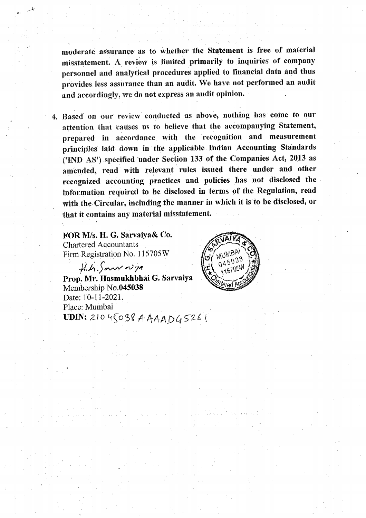moderate assurance as to whether the Statement is free of material misstatement. A review is limited primarily to inquiries of company personnel and analytical procedures applied to financial data and thus provides less assurance than an audit. We have not performed an audit and accordingly, we do not express an audit opinion.

. Based on our review conducted as above, nothing has come to our attention that causes us to believe that the accompanying Statement, prepared in accordance with the recognition and measurement principles laid down in the applicable Indian Accounting Standards (END. AS') specified under Section 133 of the Companies Act, 2013 as amended, read with relevant rules issued there under and other recognized accounting practices and policies has not disclosed the information required to be disclosed in terms of the Regulation, read with the. Circular, including the manner in which it is to be disclosed, or that it contains any material misstatement. .

**Chartered Accountants** FOR M/s. H. G. Sarvaiya& Co. Firm Registration No. 115705W

<sub>wa</sub>s de

 $Hh$  Sam night Prop. Mr. Hasmukhbhai G. Sarvaiya Membership No.045038 Date: 10-11-2021. Place: Mumbai UDIN: 210 45038 AAAAD $4526$ 

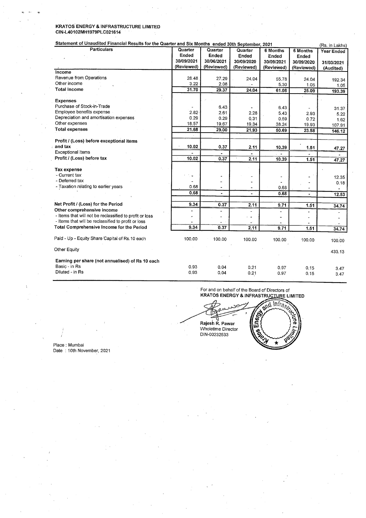# KRATOS ENERGY & INFRASTRUCTURE LIMITED **KRATOS ENERGY & INFRASTRUCTURE LIMITED<br>CIN-L40102MH1979PLC021614<br>Statement of Unaudited Financial Results for the Quarter and Six Mo** CIN-L40102MH1979PLC021614

#### Statement of Unaudited Financial Results for the Quarter and Six Months ended 30th September, 2021 (Rs, in Lakhs)

| and the process<br>$\mathcal{L}_{\rm{max}}$                                                                              | <b>Control</b>                 | $\sim 10^{11}$ km $^{-1}$      |                                 |                                            |                                     |                                            |
|--------------------------------------------------------------------------------------------------------------------------|--------------------------------|--------------------------------|---------------------------------|--------------------------------------------|-------------------------------------|--------------------------------------------|
| KRATOS ENERGY & INFRASTRUCTURE LIMITED<br>CIN-L40102MH1979PLC021614                                                      |                                |                                |                                 |                                            |                                     |                                            |
| Statement of Unaudited Financial Results for the Quarter and Six Months ended 30th September, 2021<br><b>Particulars</b> | Quarter<br>Ended<br>30/09/2021 | Quarter<br>Ended<br>30/06/2021 | Quarter<br>Ended<br>30/09/2020  | 6 Months<br>Ended<br>30/09/2021            | 6 Months<br>Ended<br>30/09/2020     | (Rs. in Lakhs)<br>Year Ended<br>31/03/2021 |
| Income                                                                                                                   | (Reviewed)                     | (Reviewed)                     | (Reviewed)                      | (Reviewed)                                 | (Reviewed)                          | (Audited)                                  |
| Revenue from Operations<br>Other income                                                                                  | 28.48<br>3.22                  | 27.29<br>2.08                  | 24.04                           | 55.78                                      |                                     |                                            |
| <b>Total Income</b>                                                                                                      | 31.70                          | 29.37                          |                                 | 5.30                                       | 24.04<br>1.05                       | 192.34                                     |
|                                                                                                                          |                                |                                | 24.04                           | 61.08                                      | 25.09                               | 1.05<br>193,39                             |
| <b>Expenses</b><br>Purchase of Stock-in-Trade<br>Employee benefits expense                                               | 2.82                           | 6.43<br>2.61                   | 2.28                            | 6.43<br>5.43                               | 2.93                                | 31.37<br>5.22                              |
| Depreciation and amortisation expenses<br>Other expenses                                                                 | 0.29<br>18,57                  | 0.29<br>19.67                  | 0.31<br>19.34                   | 0.59<br>38.24                              | 0.72<br>19.93                       | 1.62                                       |
| <b>Total expenses</b>                                                                                                    | 21.68                          | 29.00                          | 21.93                           | 50.69                                      | 23.58                               | 107.91<br>146.12                           |
| Profit / (Loss) before exceptional items<br>and tax                                                                      | 10.02                          | 0,37                           | 2.11                            | 10.39                                      |                                     |                                            |
| <b>Exceptional items</b><br>Profit / (Loss) before tax                                                                   | 10.02                          | $\tilde{\phantom{a}}$<br>0.37  | $\tilde{\phantom{a}}$<br>2.11   |                                            | 1.51                                | 47.27                                      |
| Tax expense<br>- Current tax                                                                                             |                                |                                | $\tilde{\phantom{a}}$           | 10.39<br>$\overline{\phantom{a}}$          | 1.51                                | 47.27<br>12.35                             |
| - Deferred tax<br>- Taxation relating to earlier years                                                                   | 0.68                           | im,<br>$\blacksquare$          | ۰<br>L.                         | $\overline{\phantom{a}}$<br>0.68           | $\overline{\phantom{a}}$<br>$\star$ | 0.18                                       |
|                                                                                                                          | 0.68                           | $\blacksquare$                 | $\blacksquare$                  | 0.68                                       | $\blacksquare$                      | 12.53                                      |
| Net Profit / (Loss) for the Period                                                                                       | 9.34                           | 0.37                           | 2.11                            | 9.71                                       | 1.51                                | 34.74                                      |
| Other comprehensive income<br>- Items that will not be reclassified to profit or loss                                    | $\overline{\phantom{0}}$<br>÷  | $\overline{\phantom{a}}$<br>÷, | $\blacksquare$<br>$\frac{1}{2}$ | $\overline{\phantom{a}}$<br>$\overline{a}$ | $\overline{\phantom{a}}$<br>٠       |                                            |
| - Items that will be reclassified to profit or loss<br>Total Comprehensive Income for the Period                         | 9.34                           | 0.37                           | 2.11                            | 9.71                                       | $\overline{\phantom{a}}$            |                                            |
| Paid - Up - Equity Share Capital of Rs. 10 each                                                                          | 100.00                         | 100.00                         | 100.00                          | 100.00                                     | 1.51<br>100.00                      | 34.74<br>100.00                            |
| Other Equity                                                                                                             |                                |                                |                                 |                                            |                                     | 433.13                                     |

For and on behalf of the Board of Directors of KRATOS ENERGY & INFRASTRUCTURE LIMITED

For and on the KRATOS EX (<br>ភូមិ 2 Rajesh R. Pawar  $\mathcal{C}$  . Wholetime Director  $\mathcal{C}$ တွ  $\mu$  DIN-00232533 Ŵ

Place : Mumbai Date : 10th November, 2021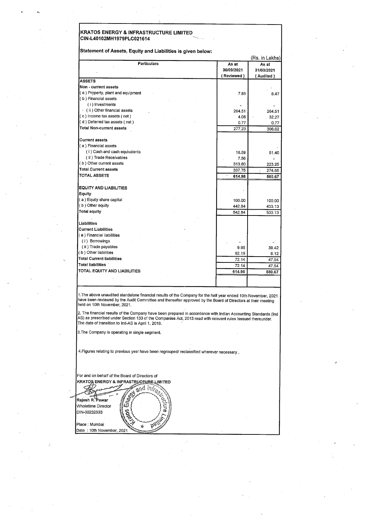## KRATOS ENERGY & INFRASTRUCTURE LIMITED — CIN-L40102MH1979PLC021614 ~ **EXAMPLE SERVICES**<br>CIN-L40102MH1979PLC021614<br>Statement of Assets, Equity and Liabilities is

| KRATOS ENERGY & INFRASTRUCTURE LIMITED                                        |                  |                        |
|-------------------------------------------------------------------------------|------------------|------------------------|
| CIN-L40102MH1979PLC021614                                                     |                  |                        |
|                                                                               |                  |                        |
| Statement of Assets, Equity and Liabilities is given below:                   |                  | (Rs. in Lakhs)         |
| Particulars                                                                   | As at            | As at                  |
|                                                                               | 30/09/2021       | 31/03/2021             |
| <b>ASSETS</b>                                                                 | (Reviewed)       | (Audited)              |
| Non - current assets                                                          |                  |                        |
| (a) Property, plant and equipment<br>(b) Financial assets                     | 7.89             | 8.47                   |
| (i) Investments                                                               |                  |                        |
| (ii) Other financial assets                                                   | 264.51           | 264.51                 |
| (c) Income tax assets (net)<br>(d) Deferred tax assets (net)                  | 4.06             | 32.27                  |
| <b>Total Non-current assets</b>                                               | 0.77<br>277.23   | 0.77<br>306.02         |
|                                                                               |                  |                        |
| <b>Current assets</b>                                                         |                  |                        |
| (a) Financial assets<br>(1) Cash and cash equivalents                         | 16.59            | 51.40                  |
| (ii) Trade Receivables                                                        | 7.56             |                        |
| (b) Other current assets<br><b>Total Current assets</b>                       | 313.60           | 223.25                 |
| <b>TOTAL ASSETS</b>                                                           | 337.75<br>614.98 | 274.65<br>¥.<br>580.67 |
|                                                                               |                  |                        |
|                                                                               | ×                |                        |
| <b>EQUITY AND LIABILITIES</b>                                                 |                  | 100.00                 |
| Equity<br>(a) Equity share capital                                            |                  | 433.13                 |
|                                                                               | 100.00<br>442.84 |                        |
|                                                                               | 542.84           | 533.13                 |
|                                                                               |                  |                        |
| (b) Other equity<br>Total equity<br>Liabilities<br><b>Current Liabilities</b> |                  |                        |
| (a) Financial liabilities                                                     |                  |                        |
| (i) Borrowings<br>(ii) Trade payables                                         |                  |                        |
|                                                                               | 9.95<br>62.19    | 39.42<br>8.12          |
| (b) Other liabilities<br><b>Total Current liabilities</b>                     | 72.14            | 47.54                  |
| Total liabilities                                                             | 72.14            | 47.54                  |
| TOTAL EQUITY AND LIABILITIES                                                  | 614.98           | 580.67                 |
|                                                                               |                  |                        |

have been reviewed by the Audit Committee and thereafter approved by the Board of Directors at their meeting<br>held on 10th November, 2021. 1.The above unaudited standalone financial results of the Company for the half year ended 10th November, 2021

The date of transition to Ind-AS is April 1, 2018. 2. The financial results of the Company have been prepared in accordance with Indian Accounting Standards. (Ind AS) as prescribed under Section 133 of the Companies Act, 2013 read with relevent rules isssued thereunder.

3. The Company is operating in single segment,

4.Figures relating to previous yesr have been regrouped/ reclassified wherever necessary .

For and on behalf of the Board of Directors of KRATOS ENERGY & INFRASTRUCTURE LIMITED e<br>Talia Rajesh R. Pawar Wholetime Director DIN-00232533 Place : Mumbai Date : 10th November, 2021.